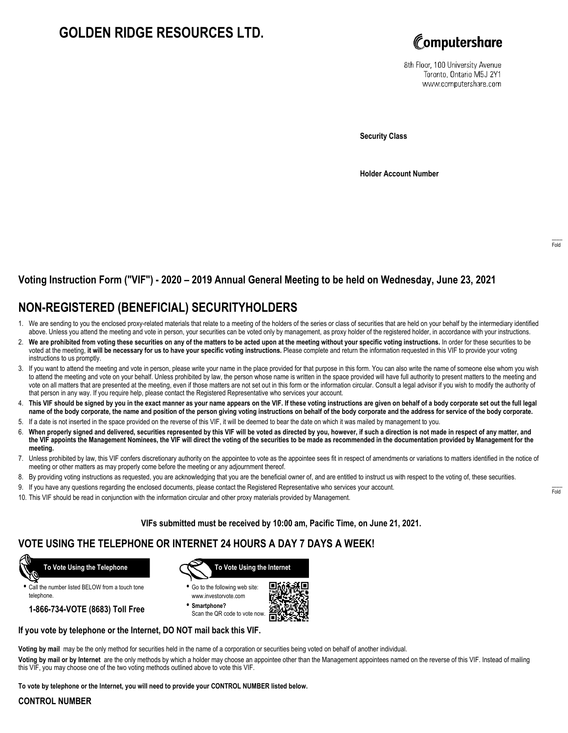# **GOLDEN RIDGE RESOURCES LTD.**



8th Floor, 100 University Avenue Toronto, Ontario M5J 2Y1 www.computershare.com

**Security Class**

**Holder Account Number**

## **Voting Instruction Form ("VIF") - 2020 – 2019 Annual General Meeting to be held on Wednesday, June 23, 2021**

# **NON-REGISTERED (BENEFICIAL) SECURITYHOLDERS**

- 1. We are sending to you the enclosed proxy-related materials that relate to a meeting of the holders of the series or class of securities that are held on your behalf by the intermediary identified above. Unless you attend the meeting and vote in person, your securities can be voted only by management, as proxy holder of the registered holder, in accordance with your instructions.
- 2. **We are prohibited from voting these securities on any of the matters to be acted upon at the meeting without your specific voting instructions.** In order for these securities to be voted at the meeting, **it will be necessary for us to have your specific voting instructions.** Please complete and return the information requested in this VIF to provide your voting instructions to us promptly.
- 3. If you want to attend the meeting and vote in person, please write your name in the place provided for that purpose in this form. You can also write the name of someone else whom you wish to attend the meeting and vote on your behalf. Unless prohibited by law, the person whose name is written in the space provided will have full authority to present matters to the meeting and vote on all matters that are presented at the meeting, even if those matters are not set out in this form or the information circular. Consult a legal advisor if you wish to modify the authority of that person in any way. If you require help, please contact the Registered Representative who services your account.
- 4. **This VIF should be signed by you in the exact manner as your name appears on the VIF. If these voting instructions are given on behalf of a body corporate set out the full legal name of the body corporate, the name and position of the person giving voting instructions on behalf of the body corporate and the address for service of the body corporate.**
- 5. If a date is not inserted in the space provided on the reverse of this VIF, it will be deemed to bear the date on which it was mailed by management to you.
- 6. **When properly signed and delivered, securities represented by this VIF will be voted as directed by you, however, if such a direction is not made in respect of any matter, and the VIF appoints the Management Nominees, the VIF will direct the voting of the securities to be made as recommended in the documentation provided by Management for the meeting.**
- 7. Unless prohibited by law, this VIF confers discretionary authority on the appointee to vote as the appointee sees fit in respect of amendments or variations to matters identified in the notice of meeting or other matters as may properly come before the meeting or any adjournment thereof.
- 8. By providing voting instructions as requested, you are acknowledging that you are the beneficial owner of, and are entitled to instruct us with respect to the voting of, these securities.
- 9. If you have any questions regarding the enclosed documents, please contact the Registered Representative who services your account.
- 10. This VIF should be read in conjunction with the information circular and other proxy materials provided by Management.

**VIFs submitted must be received by 10:00 am, Pacific Time, on June 21, 2021.**

## **VOTE USING THE TELEPHONE OR INTERNET 24 HOURS A DAY 7 DAYS A WEEK!**

 **To Vote Using the Telephone**

**•** Call the number listed BELOW from a touch tone telephone.

**1-866-734-VOTE (8683) Toll Free**



- **•** Go to the following web site: www.investorvote.com
- **• Smartphone?** Scan the QR code to vote now.



### **If you vote by telephone or the Internet, DO NOT mail back this VIF.**

**Voting by mail** may be the only method for securities held in the name of a corporation or securities being voted on behalf of another individual.

**Voting by mail or by Internet** are the only methods by which a holder may choose an appointee other than the Management appointees named on the reverse of this VIF. Instead of mailing this VIF, you may choose one of the two voting methods outlined above to vote this VIF.

**To vote by telephone or the Internet, you will need to provide your CONTROL NUMBER listed below.**

#### **CONTROL NUMBER**